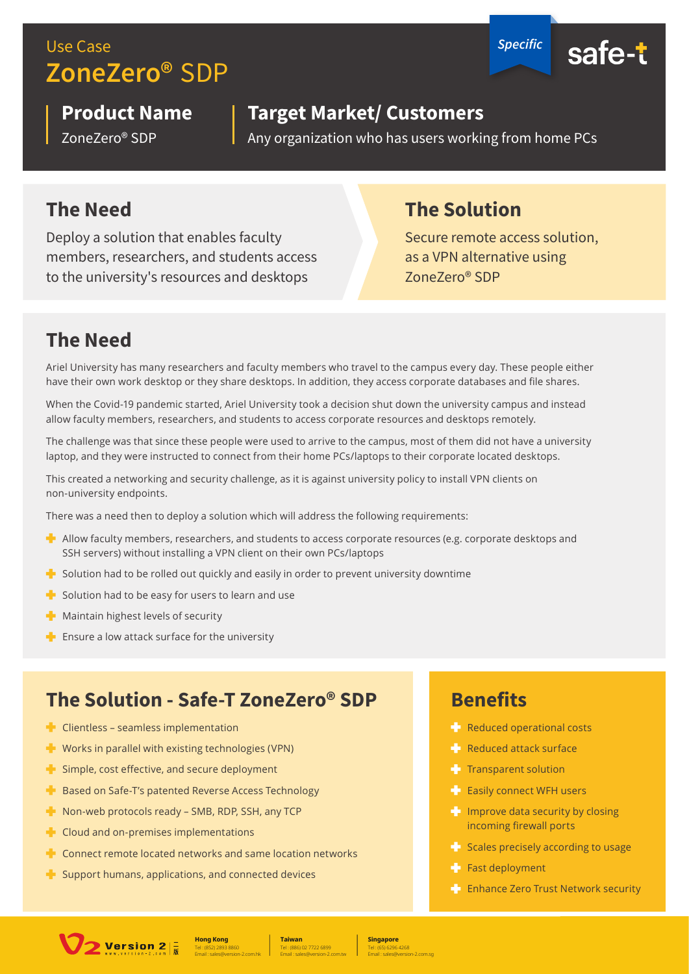# Use Case *Specific* **ZoneZero®** SDP



# **Product Name**

ZoneZero® SDP

#### **Target Market/ Customers**

Any organization who has users working from home PCs

#### **The Need**

Deploy a solution that enables faculty members, researchers, and students access to the university's resources and desktops

## **The Solution**

Secure remote access solution, as a VPN alternative using ZoneZero® SDP

# **The Need**

Ariel University has many researchers and faculty members who travel to the campus every day. These people either have their own work desktop or they share desktops. In addition, they access corporate databases and file shares.

When the Covid-19 pandemic started, Ariel University took a decision shut down the university campus and instead allow faculty members, researchers, and students to access corporate resources and desktops remotely.

The challenge was that since these people were used to arrive to the campus, most of them did not have a university laptop, and they were instructed to connect from their home PCs/laptops to their corporate located desktops.

This created a networking and security challenge, as it is against university policy to install VPN clients on non-university endpoints.

There was a need then to deploy a solution which will address the following requirements:

- $\blacktriangleright$  Allow faculty members, researchers, and students to access corporate resources (e.g. corporate desktops and SSH servers) without installing a VPN client on their own PCs/laptops
- $\blacktriangleright$  Solution had to be rolled out quickly and easily in order to prevent university downtime
- $\blacksquare$  Solution had to be easy for users to learn and use
- $\blacksquare$  Maintain highest levels of security
- $\blacksquare$  Ensure a low attack surface for the university

#### **The Solution - Safe-T ZoneZero® SDP**

- $\blacksquare$  Clientless seamless implementation
- $\blacksquare$  Works in parallel with existing technologies (VPN)
- $\blacktriangleright$  Simple, cost effective, and secure deployment
- **Based on Safe-T's patented Reverse Access Technology**
- $\blacksquare$  Non-web protocols ready SMB, RDP, SSH, any TCP
- $\blacksquare$  Cloud and on-premises implementations
- $\blacktriangleright$  Connect remote located networks and same location networks
- $\blacktriangle$  Support humans, applications, and connected devices

#### **Benefits**

- **Reduced operational costs**
- **Reduced attack surface**
- $T$  Transparent solution
- **Easily connect WFH users**
- $\blacksquare$  Improve data security by closing incoming firewall ports
- $\blacktriangleleft$  Scales precisely according to usage
- $F$  Fast deployment
- **External Enhance Zero Trust Network security**



Tel : (886) 02 7722 6899 **Taiwan** Email : sales@version-2.com.tw

Tel : (65) 6296 4268 **Singapore**

Email : sales@version-2.com.sg